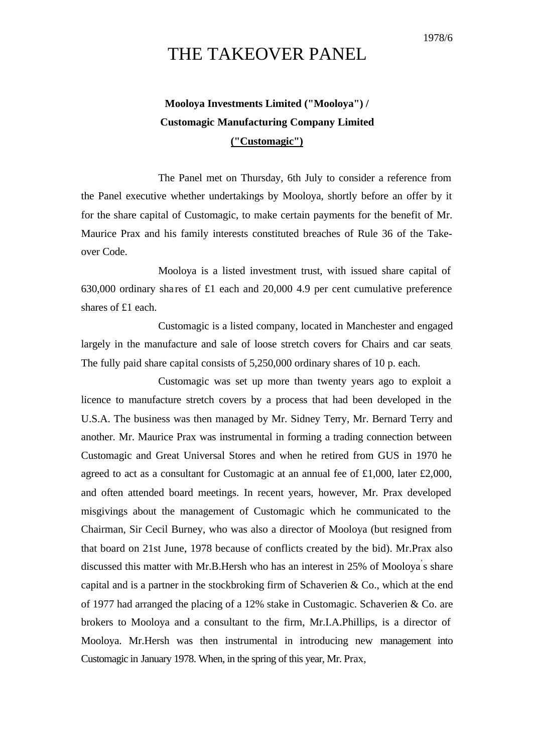## THE TAKEOVER PANEL

## **Mooloya Investments Limited ("Mooloya") / Customagic Manufacturing Company Limited ("Customagic")**

The Panel met on Thursday, 6th July to consider a reference from the Panel executive whether undertakings by Mooloya, shortly before an offer by it for the share capital of Customagic, to make certain payments for the benefit of Mr. Maurice Prax and his family interests constituted breaches of Rule 36 of the Takeover Code.

Mooloya is a listed investment trust, with issued share capital of 630,000 ordinary shares of £1 each and 20,000 4.9 per cent cumulative preference shares of £1 each.

Customagic is a listed company, located in Manchester and engaged largely in the manufacture and sale of loose stretch covers for Chairs and car seats. The fully paid share capital consists of 5,250,000 ordinary shares of 10 p. each.

Customagic was set up more than twenty years ago to exploit a licence to manufacture stretch covers by a process that had been developed in the U.S.A. The business was then managed by Mr. Sidney Terry, Mr. Bernard Terry and another. Mr. Maurice Prax was instrumental in forming a trading connection between Customagic and Great Universal Stores and when he retired from GUS in 1970 he agreed to act as a consultant for Customagic at an annual fee of £1,000, later £2,000, and often attended board meetings. In recent years, however, Mr. Prax developed misgivings about the management of Customagic which he communicated to the Chairman, Sir Cecil Burney, who was also a director of Mooloya (but resigned from that board on 21st June, 1978 because of conflicts created by the bid). Mr.Prax also discussed this matter with Mr.B.Hersh who has an interest in 25% of Mooloya' s share capital and is a partner in the stockbroking firm of Schaverien & Co., which at the end of 1977 had arranged the placing of a 12% stake in Customagic. Schaverien & Co. are brokers to Mooloya and a consultant to the firm, Mr.I.A.Phillips, is a director of Mooloya. Mr.Hersh was then instrumental in introducing new management into Customagic in January 1978. When, in the spring of this year, Mr. Prax,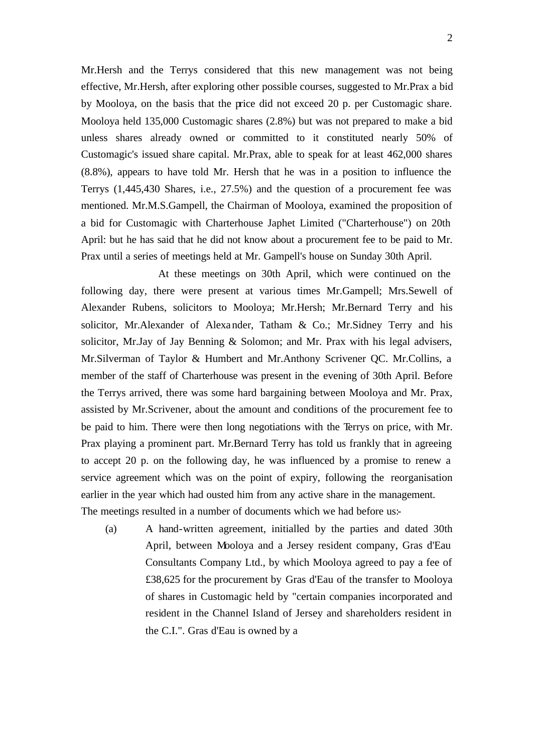Mr.Hersh and the Terrys considered that this new management was not being effective, Mr.Hersh, after exploring other possible courses, suggested to Mr.Prax a bid by Mooloya, on the basis that the price did not exceed 20 p. per Customagic share. Mooloya held 135,000 Customagic shares (2.8%) but was not prepared to make a bid unless shares already owned or committed to it constituted nearly 50% of Customagic's issued share capital. Mr.Prax, able to speak for at least 462,000 shares (8.8%), appears to have told Mr. Hersh that he was in a position to influence the Terrys (1,445,430 Shares, i.e., 27.5%) and the question of a procurement fee was mentioned. Mr.M.S.Gampell, the Chairman of Mooloya, examined the proposition of a bid for Customagic with Charterhouse Japhet Limited ("Charterhouse") on 20th April: but he has said that he did not know about a procurement fee to be paid to Mr. Prax until a series of meetings held at Mr. Gampell's house on Sunday 30th April.

At these meetings on 30th April, which were continued on the following day, there were present at various times Mr.Gampell; Mrs.Sewell of Alexander Rubens, solicitors to Mooloya; Mr.Hersh; Mr.Bernard Terry and his solicitor, Mr.Alexander of Alexander, Tatham & Co.; Mr.Sidney Terry and his solicitor, Mr.Jay of Jay Benning & Solomon; and Mr. Prax with his legal advisers, Mr.Silverman of Taylor & Humbert and Mr.Anthony Scrivener QC. Mr.Collins, a member of the staff of Charterhouse was present in the evening of 30th April. Before the Terrys arrived, there was some hard bargaining between Mooloya and Mr. Prax, assisted by Mr.Scrivener, about the amount and conditions of the procurement fee to be paid to him. There were then long negotiations with the Terrys on price, with Mr. Prax playing a prominent part. Mr.Bernard Terry has told us frankly that in agreeing to accept 20 p. on the following day, he was influenced by a promise to renew a service agreement which was on the point of expiry, following the reorganisation earlier in the year which had ousted him from any active share in the management. The meetings resulted in a number of documents which we had before us:-

(a) A hand-written agreement, initialled by the parties and dated 30th April, between Mooloya and a Jersey resident company, Gras d'Eau Consultants Company Ltd., by which Mooloya agreed to pay a fee of £38,625 for the procurement by Gras d'Eau of the transfer to Mooloya of shares in Customagic held by "certain companies incorporated and resident in the Channel Island of Jersey and shareholders resident in the C.I.". Gras d'Eau is owned by a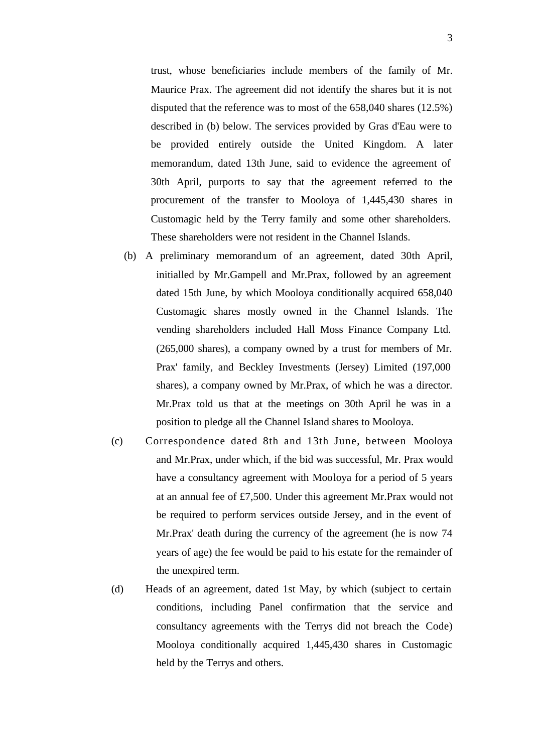trust, whose beneficiaries include members of the family of Mr. Maurice Prax. The agreement did not identify the shares but it is not disputed that the reference was to most of the 658,040 shares (12.5%) described in (b) below. The services provided by Gras d'Eau were to be provided entirely outside the United Kingdom. A later memorandum, dated 13th June, said to evidence the agreement of 30th April, purports to say that the agreement referred to the procurement of the transfer to Mooloya of 1,445,430 shares in Customagic held by the Terry family and some other shareholders. These shareholders were not resident in the Channel Islands.

- (b) A preliminary memorandum of an agreement, dated 30th April, initialled by Mr.Gampell and Mr.Prax, followed by an agreement dated 15th June, by which Mooloya conditionally acquired 658,040 Customagic shares mostly owned in the Channel Islands. The vending shareholders included Hall Moss Finance Company Ltd. (265,000 shares), a company owned by a trust for members of Mr. Prax' family, and Beckley Investments (Jersey) Limited (197,000 shares), a company owned by Mr.Prax, of which he was a director. Mr.Prax told us that at the meetings on 30th April he was in a position to pledge all the Channel Island shares to Mooloya.
- (c) Correspondence dated 8th and 13th June, between Mooloya and Mr.Prax, under which, if the bid was successful, Mr. Prax would have a consultancy agreement with Mooloya for a period of 5 years at an annual fee of £7,500. Under this agreement Mr.Prax would not be required to perform services outside Jersey, and in the event of Mr.Prax' death during the currency of the agreement (he is now 74 years of age) the fee would be paid to his estate for the remainder of the unexpired term.
- (d) Heads of an agreement, dated 1st May, by which (subject to certain conditions, including Panel confirmation that the service and consultancy agreements with the Terrys did not breach the Code) Mooloya conditionally acquired 1,445,430 shares in Customagic held by the Terrys and others.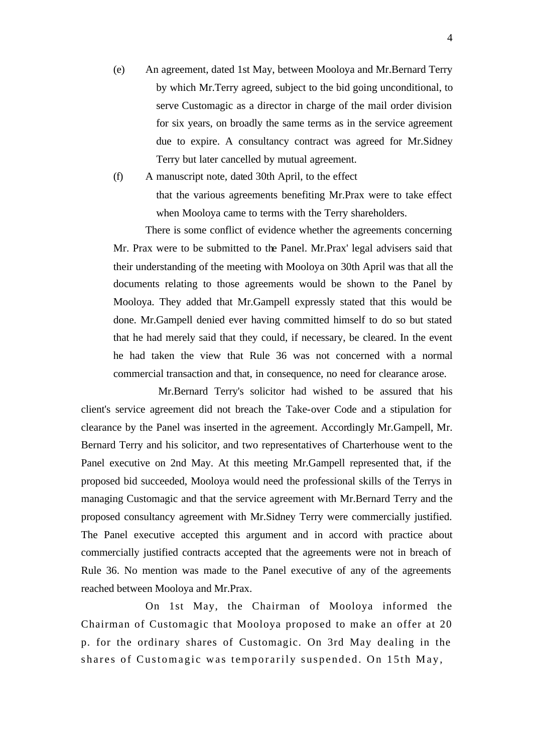(e) An agreement, dated 1st May, between Mooloya and Mr.Bernard Terry by which Mr.Terry agreed, subject to the bid going unconditional, to serve Customagic as a director in charge of the mail order division for six years, on broadly the same terms as in the service agreement due to expire. A consultancy contract was agreed for Mr.Sidney Terry but later cancelled by mutual agreement.

(f) A manuscript note, dated 30th April, to the effect that the various agreements benefiting Mr.Prax were to take effect when Mooloya came to terms with the Terry shareholders.

There is some conflict of evidence whether the agreements concerning Mr. Prax were to be submitted to the Panel. Mr.Prax' legal advisers said that their understanding of the meeting with Mooloya on 30th April was that all the documents relating to those agreements would be shown to the Panel by Mooloya. They added that Mr.Gampell expressly stated that this would be done. Mr.Gampell denied ever having committed himself to do so but stated that he had merely said that they could, if necessary, be cleared. In the event he had taken the view that Rule 36 was not concerned with a normal commercial transaction and that, in consequence, no need for clearance arose.

Mr.Bernard Terry's solicitor had wished to be assured that his client's service agreement did not breach the Take-over Code and a stipulation for clearance by the Panel was inserted in the agreement. Accordingly Mr.Gampell, Mr. Bernard Terry and his solicitor, and two representatives of Charterhouse went to the Panel executive on 2nd May. At this meeting Mr.Gampell represented that, if the proposed bid succeeded, Mooloya would need the professional skills of the Terrys in managing Customagic and that the service agreement with Mr.Bernard Terry and the proposed consultancy agreement with Mr.Sidney Terry were commercially justified. The Panel executive accepted this argument and in accord with practice about commercially justified contracts accepted that the agreements were not in breach of Rule 36. No mention was made to the Panel executive of any of the agreements reached between Mooloya and Mr.Prax.

On 1st May, the Chairman of Mooloya informed the Chairman of Customagic that Mooloya proposed to make an offer at 20 p. for the ordinary shares of Customagic. On 3rd May dealing in the shares of Customagic was temporarily suspended. On 15th May,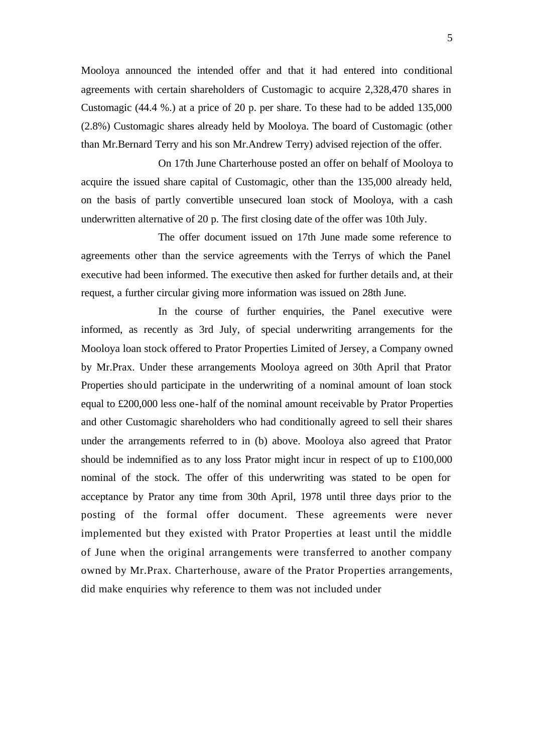Mooloya announced the intended offer and that it had entered into conditional agreements with certain shareholders of Customagic to acquire 2,328,470 shares in Customagic (44.4 %.) at a price of 20 p. per share. To these had to be added 135,000 (2.8%) Customagic shares already held by Mooloya. The board of Customagic (other than Mr.Bernard Terry and his son Mr.Andrew Terry) advised rejection of the offer.

On 17th June Charterhouse posted an offer on behalf of Mooloya to acquire the issued share capital of Customagic, other than the 135,000 already held, on the basis of partly convertible unsecured loan stock of Mooloya, with a cash underwritten alternative of 20 p. The first closing date of the offer was 10th July.

The offer document issued on 17th June made some reference to agreements other than the service agreements with the Terrys of which the Panel executive had been informed. The executive then asked for further details and, at their request, a further circular giving more information was issued on 28th June.

In the course of further enquiries, the Panel executive were informed, as recently as 3rd July, of special underwriting arrangements for the Mooloya loan stock offered to Prator Properties Limited of Jersey, a Company owned by Mr.Prax. Under these arrangements Mooloya agreed on 30th April that Prator Properties should participate in the underwriting of a nominal amount of loan stock equal to £200,000 less one-half of the nominal amount receivable by Prator Properties and other Customagic shareholders who had conditionally agreed to sell their shares under the arrangements referred to in (b) above. Mooloya also agreed that Prator should be indemnified as to any loss Prator might incur in respect of up to £100,000 nominal of the stock. The offer of this underwriting was stated to be open for acceptance by Prator any time from 30th April, 1978 until three days prior to the posting of the formal offer document. These agreements were never implemented but they existed with Prator Properties at least until the middle of June when the original arrangements were transferred to another company owned by Mr.Prax. Charterhouse, aware of the Prator Properties arrangements, did make enquiries why reference to them was not included under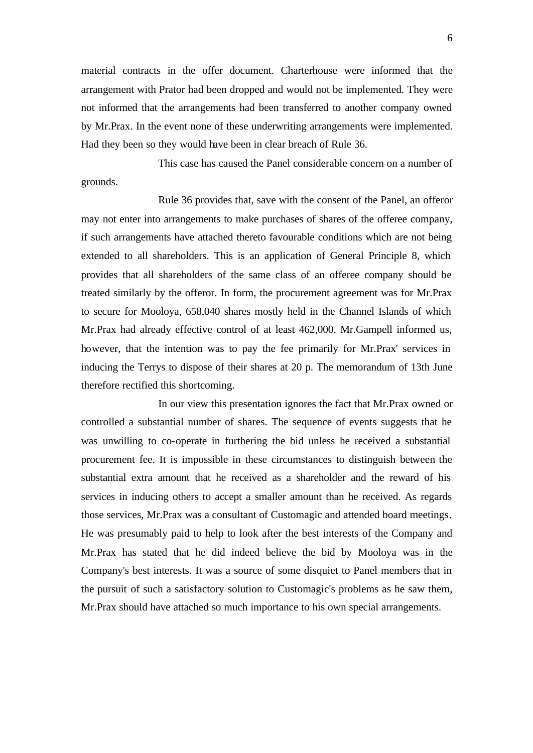material contracts in the offer document. Charterhouse were informed that the arrangement with Prator had been dropped and would not be implemented. They were not informed that the arrangements had been transferred to another company owned by Mr.Prax. In the event none of these underwriting arrangements were implemented. Had they been so they would have been in clear breach of Rule 36.

This case has caused the Panel considerable concern on a number of grounds.

Rule 36 provides that, save with the consent of the Panel, an offeror may not enter into arrangements to make purchases of shares of the offeree company, if such arrangements have attached thereto favourable conditions which are not being extended to all shareholders. This is an application of General Principle 8, which provides that all shareholders of the same class of an offeree company should be treated similarly by the offeror. In form, the procurement agreement was for Mr.Prax to secure for Mooloya, 658,040 shares mostly held in the Channel Islands of which Mr.Prax had already effective control of at least 462,000. Mr.Gampell informed us, however, that the intention was to pay the fee primarily for Mr.Prax' services in inducing the Terrys to dispose of their shares at 20 p. The memorandum of 13th June therefore rectified this shortcoming.

In our view this presentation ignores the fact that Mr.Prax owned or controlled a substantial number of shares. The sequence of events suggests that he was unwilling to co-operate in furthering the bid unless he received a substantial procurement fee. It is impossible in these circumstances to distinguish between the substantial extra amount that he received as a shareholder and the reward of his services in inducing others to accept a smaller amount than he received. As regards those services, Mr.Prax was a consultant of Customagic and attended board meetings. He was presumably paid to help to look after the best interests of the Company and Mr.Prax has stated that he did indeed believe the bid by Mooloya was in the Company's best interests. It was a source of some disquiet to Panel members that in the pursuit of such a satisfactory solution to Customagic's problems as he saw them, Mr.Prax should have attached so much importance to his own special arrangements.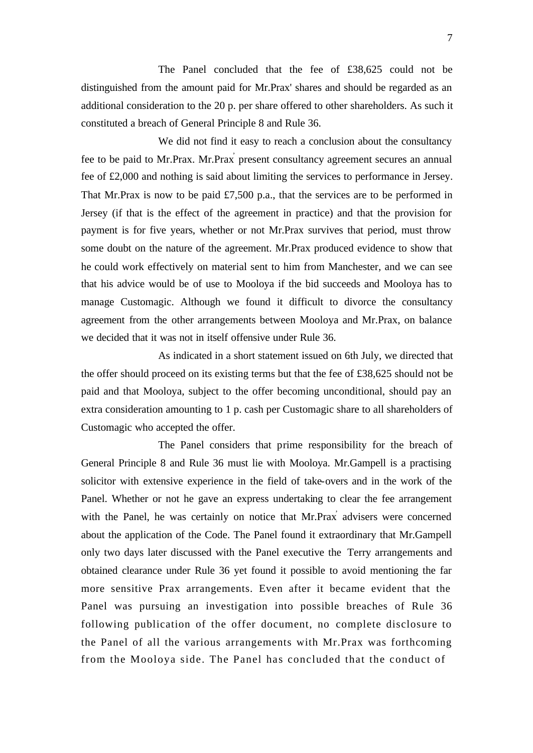The Panel concluded that the fee of £38,625 could not be distinguished from the amount paid for Mr.Prax' shares and should be regarded as an additional consideration to the 20 p. per share offered to other shareholders. As such it constituted a breach of General Principle 8 and Rule 36.

We did not find it easy to reach a conclusion about the consultancy fee to be paid to Mr.Prax. Mr.Prax<sup>'</sup> present consultancy agreement secures an annual fee of £2,000 and nothing is said about limiting the services to performance in Jersey. That Mr.Prax is now to be paid £7,500 p.a., that the services are to be performed in Jersey (if that is the effect of the agreement in practice) and that the provision for payment is for five years, whether or not Mr.Prax survives that period, must throw some doubt on the nature of the agreement. Mr.Prax produced evidence to show that he could work effectively on material sent to him from Manchester, and we can see that his advice would be of use to Mooloya if the bid succeeds and Mooloya has to manage Customagic. Although we found it difficult to divorce the consultancy agreement from the other arrangements between Mooloya and Mr.Prax, on balance we decided that it was not in itself offensive under Rule 36.

As indicated in a short statement issued on 6th July, we directed that the offer should proceed on its existing terms but that the fee of £38,625 should not be paid and that Mooloya, subject to the offer becoming unconditional, should pay an extra consideration amounting to 1 p. cash per Customagic share to all shareholders of Customagic who accepted the offer.

The Panel considers that prime responsibility for the breach of General Principle 8 and Rule 36 must lie with Mooloya. Mr.Gampell is a practising solicitor with extensive experience in the field of take-overs and in the work of the Panel. Whether or not he gave an express undertaking to clear the fee arrangement with the Panel, he was certainly on notice that Mr.Prax' advisers were concerned about the application of the Code. The Panel found it extraordinary that Mr.Gampell only two days later discussed with the Panel executive the Terry arrangements and obtained clearance under Rule 36 yet found it possible to avoid mentioning the far more sensitive Prax arrangements. Even after it became evident that the Panel was pursuing an investigation into possible breaches of Rule 36 following publication of the offer document, no complete disclosure to the Panel of all the various arrangements with Mr.Prax was forthcoming from the Mooloya side. The Panel has concluded that the conduct of